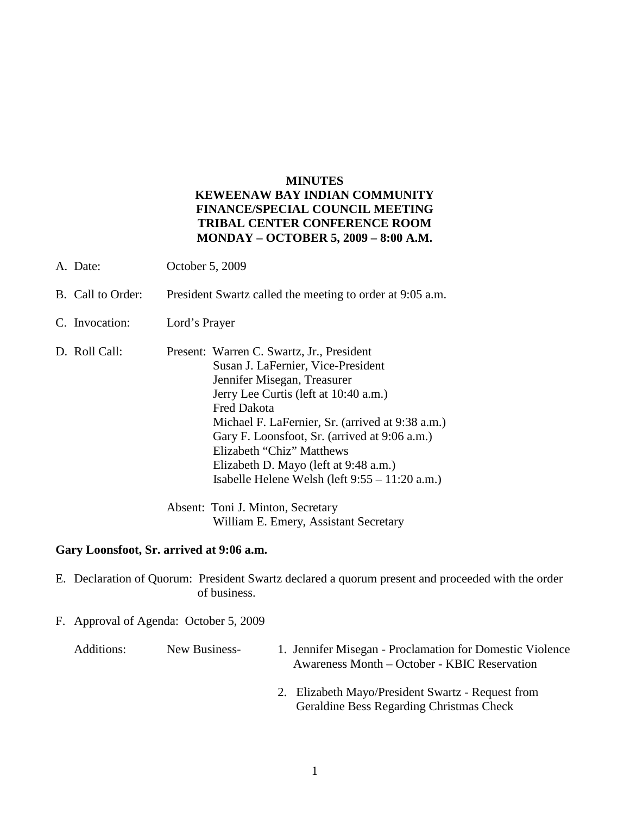## **MINUTES**

## **KEWEENAW BAY INDIAN COMMUNITY FINANCE/SPECIAL COUNCIL MEETING TRIBAL CENTER CONFERENCE ROOM MONDAY – OCTOBER 5, 2009 – 8:00 A.M.**

- A. Date: October 5, 2009
- B. Call to Order: President Swartz called the meeting to order at 9:05 a.m.
- C. Invocation: Lord's Prayer
- D. Roll Call: Present: Warren C. Swartz, Jr., President Susan J. LaFernier, Vice-President Jennifer Misegan, Treasurer Jerry Lee Curtis (left at 10:40 a.m.) Fred Dakota Michael F. LaFernier, Sr. (arrived at 9:38 a.m.) Gary F. Loonsfoot, Sr. (arrived at 9:06 a.m.) Elizabeth "Chiz" Matthews Elizabeth D. Mayo (left at 9:48 a.m.) Isabelle Helene Welsh (left 9:55 – 11:20 a.m.)

Absent: Toni J. Minton, Secretary William E. Emery, Assistant Secretary

## **Gary Loonsfoot, Sr. arrived at 9:06 a.m.**

- E. Declaration of Quorum: President Swartz declared a quorum present and proceeded with the order of business.
- F. Approval of Agenda: October 5, 2009

| Additions: | New Business- | 1. Jennifer Misegan - Proclamation for Domestic Violence |
|------------|---------------|----------------------------------------------------------|
|            |               | Awareness Month – October - KBIC Reservation             |

2. Elizabeth Mayo/President Swartz - Request from Geraldine Bess Regarding Christmas Check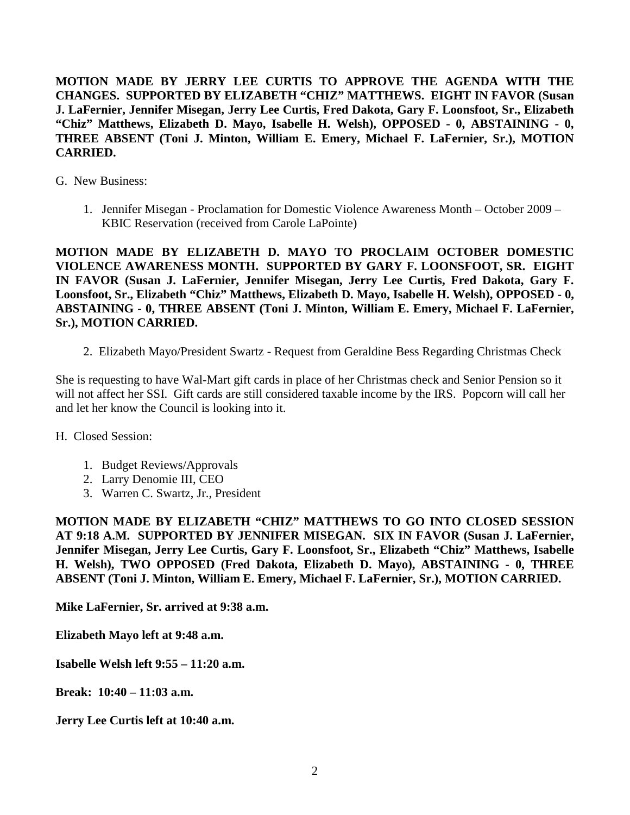**MOTION MADE BY JERRY LEE CURTIS TO APPROVE THE AGENDA WITH THE CHANGES. SUPPORTED BY ELIZABETH "CHIZ" MATTHEWS. EIGHT IN FAVOR (Susan J. LaFernier, Jennifer Misegan, Jerry Lee Curtis, Fred Dakota, Gary F. Loonsfoot, Sr., Elizabeth "Chiz" Matthews, Elizabeth D. Mayo, Isabelle H. Welsh), OPPOSED - 0, ABSTAINING - 0, THREE ABSENT (Toni J. Minton, William E. Emery, Michael F. LaFernier, Sr.), MOTION CARRIED.**

- G. New Business:
	- 1. Jennifer Misegan Proclamation for Domestic Violence Awareness Month October 2009 KBIC Reservation (received from Carole LaPointe)

**MOTION MADE BY ELIZABETH D. MAYO TO PROCLAIM OCTOBER DOMESTIC VIOLENCE AWARENESS MONTH. SUPPORTED BY GARY F. LOONSFOOT, SR. EIGHT IN FAVOR (Susan J. LaFernier, Jennifer Misegan, Jerry Lee Curtis, Fred Dakota, Gary F. Loonsfoot, Sr., Elizabeth "Chiz" Matthews, Elizabeth D. Mayo, Isabelle H. Welsh), OPPOSED - 0, ABSTAINING - 0, THREE ABSENT (Toni J. Minton, William E. Emery, Michael F. LaFernier, Sr.), MOTION CARRIED.**

2. Elizabeth Mayo/President Swartz - Request from Geraldine Bess Regarding Christmas Check

She is requesting to have Wal-Mart gift cards in place of her Christmas check and Senior Pension so it will not affect her SSI. Gift cards are still considered taxable income by the IRS. Popcorn will call her and let her know the Council is looking into it.

- H. Closed Session:
	- 1. Budget Reviews/Approvals
	- 2. Larry Denomie III, CEO
	- 3. Warren C. Swartz, Jr., President

**MOTION MADE BY ELIZABETH "CHIZ" MATTHEWS TO GO INTO CLOSED SESSION AT 9:18 A.M. SUPPORTED BY JENNIFER MISEGAN. SIX IN FAVOR (Susan J. LaFernier, Jennifer Misegan, Jerry Lee Curtis, Gary F. Loonsfoot, Sr., Elizabeth "Chiz" Matthews, Isabelle H. Welsh), TWO OPPOSED (Fred Dakota, Elizabeth D. Mayo), ABSTAINING - 0, THREE ABSENT (Toni J. Minton, William E. Emery, Michael F. LaFernier, Sr.), MOTION CARRIED.**

**Mike LaFernier, Sr. arrived at 9:38 a.m.**

**Elizabeth Mayo left at 9:48 a.m.**

**Isabelle Welsh left 9:55 – 11:20 a.m.**

**Break: 10:40 – 11:03 a.m.**

**Jerry Lee Curtis left at 10:40 a.m.**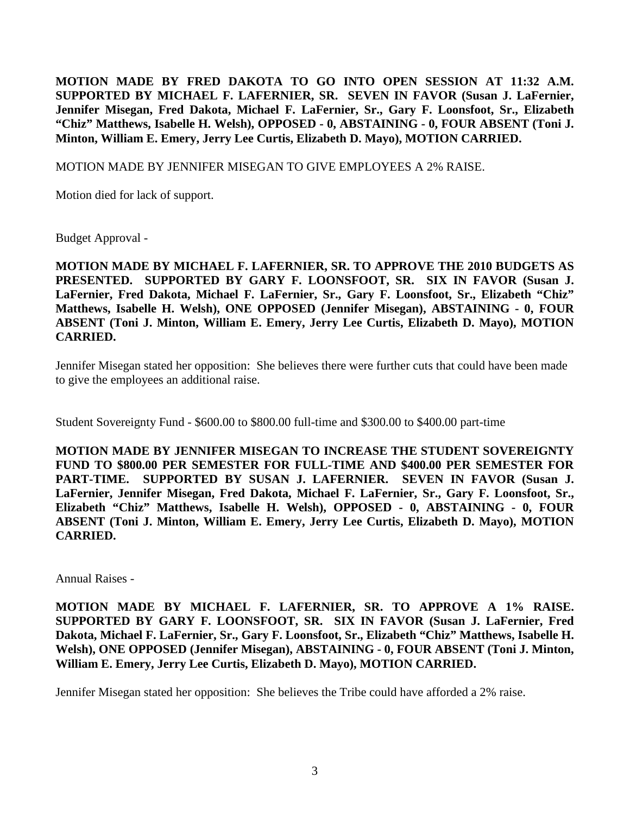**MOTION MADE BY FRED DAKOTA TO GO INTO OPEN SESSION AT 11:32 A.M. SUPPORTED BY MICHAEL F. LAFERNIER, SR. SEVEN IN FAVOR (Susan J. LaFernier, Jennifer Misegan, Fred Dakota, Michael F. LaFernier, Sr., Gary F. Loonsfoot, Sr., Elizabeth "Chiz" Matthews, Isabelle H. Welsh), OPPOSED - 0, ABSTAINING - 0, FOUR ABSENT (Toni J. Minton, William E. Emery, Jerry Lee Curtis, Elizabeth D. Mayo), MOTION CARRIED.**

MOTION MADE BY JENNIFER MISEGAN TO GIVE EMPLOYEES A 2% RAISE.

Motion died for lack of support.

Budget Approval -

**MOTION MADE BY MICHAEL F. LAFERNIER, SR. TO APPROVE THE 2010 BUDGETS AS PRESENTED. SUPPORTED BY GARY F. LOONSFOOT, SR. SIX IN FAVOR (Susan J. LaFernier, Fred Dakota, Michael F. LaFernier, Sr., Gary F. Loonsfoot, Sr., Elizabeth "Chiz" Matthews, Isabelle H. Welsh), ONE OPPOSED (Jennifer Misegan), ABSTAINING - 0, FOUR ABSENT (Toni J. Minton, William E. Emery, Jerry Lee Curtis, Elizabeth D. Mayo), MOTION CARRIED.**

Jennifer Misegan stated her opposition: She believes there were further cuts that could have been made to give the employees an additional raise.

Student Sovereignty Fund - \$600.00 to \$800.00 full-time and \$300.00 to \$400.00 part-time

**MOTION MADE BY JENNIFER MISEGAN TO INCREASE THE STUDENT SOVEREIGNTY FUND TO \$800.00 PER SEMESTER FOR FULL-TIME AND \$400.00 PER SEMESTER FOR PART-TIME. SUPPORTED BY SUSAN J. LAFERNIER. SEVEN IN FAVOR (Susan J. LaFernier, Jennifer Misegan, Fred Dakota, Michael F. LaFernier, Sr., Gary F. Loonsfoot, Sr., Elizabeth "Chiz" Matthews, Isabelle H. Welsh), OPPOSED - 0, ABSTAINING - 0, FOUR ABSENT (Toni J. Minton, William E. Emery, Jerry Lee Curtis, Elizabeth D. Mayo), MOTION CARRIED.**

Annual Raises -

**MOTION MADE BY MICHAEL F. LAFERNIER, SR. TO APPROVE A 1% RAISE. SUPPORTED BY GARY F. LOONSFOOT, SR. SIX IN FAVOR (Susan J. LaFernier, Fred Dakota, Michael F. LaFernier, Sr., Gary F. Loonsfoot, Sr., Elizabeth "Chiz" Matthews, Isabelle H. Welsh), ONE OPPOSED (Jennifer Misegan), ABSTAINING - 0, FOUR ABSENT (Toni J. Minton, William E. Emery, Jerry Lee Curtis, Elizabeth D. Mayo), MOTION CARRIED.**

Jennifer Misegan stated her opposition: She believes the Tribe could have afforded a 2% raise.